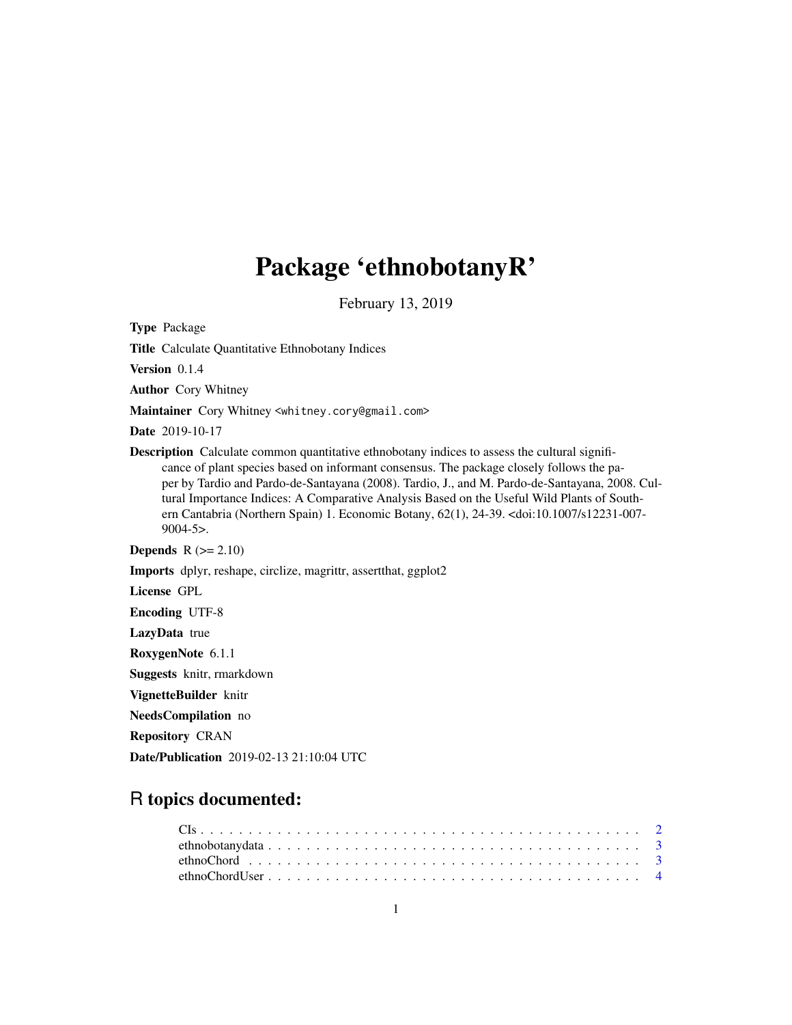# Package 'ethnobotanyR'

February 13, 2019

Type Package

Title Calculate Quantitative Ethnobotany Indices

Version 0.1.4

Author Cory Whitney

Maintainer Cory Whitney <whitney.cory@gmail.com>

Date 2019-10-17

Description Calculate common quantitative ethnobotany indices to assess the cultural significance of plant species based on informant consensus. The package closely follows the paper by Tardio and Pardo-de-Santayana (2008). Tardio, J., and M. Pardo-de-Santayana, 2008. Cultural Importance Indices: A Comparative Analysis Based on the Useful Wild Plants of Southern Cantabria (Northern Spain) 1. Economic Botany, 62(1), 24-39. <doi:10.1007/s12231-007- 9004-5>.

Depends  $R (= 2.10)$ 

Imports dplyr, reshape, circlize, magrittr, assertthat, ggplot2

License GPL

Encoding UTF-8

LazyData true

RoxygenNote 6.1.1

Suggests knitr, rmarkdown

VignetteBuilder knitr

NeedsCompilation no

Repository CRAN

Date/Publication 2019-02-13 21:10:04 UTC

# R topics documented: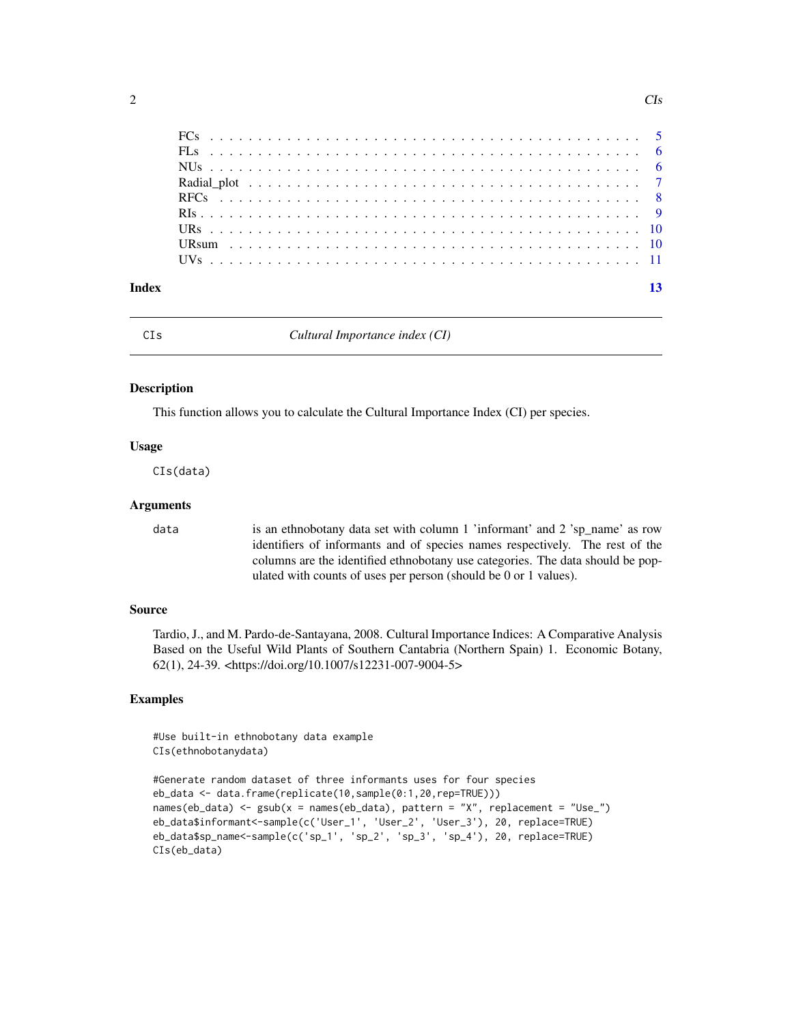<span id="page-1-0"></span>

| Index |  |  |  |  |  |  |  |  |  |  |  |  |  |  |  |  |  |  |  |
|-------|--|--|--|--|--|--|--|--|--|--|--|--|--|--|--|--|--|--|--|

CIs *Cultural Importance index (CI)*

# Description

This function allows you to calculate the Cultural Importance Index (CI) per species.

# Usage

CIs(data)

# Arguments

data is an ethnobotany data set with column 1 'informant' and 2 'sp\_name' as row identifiers of informants and of species names respectively. The rest of the columns are the identified ethnobotany use categories. The data should be populated with counts of uses per person (should be 0 or 1 values).

# Source

Tardio, J., and M. Pardo-de-Santayana, 2008. Cultural Importance Indices: A Comparative Analysis Based on the Useful Wild Plants of Southern Cantabria (Northern Spain) 1. Economic Botany, 62(1), 24-39. <https://doi.org/10.1007/s12231-007-9004-5>

# Examples

#Use built-in ethnobotany data example CIs(ethnobotanydata)

```
#Generate random dataset of three informants uses for four species
eb_data <- data.frame(replicate(10,sample(0:1,20,rep=TRUE)))
names(eb_data) <- gsub(x = names(eb_data), pattern = "X", replacement = "Use_")
eb_data$informant<-sample(c('User_1', 'User_2', 'User_3'), 20, replace=TRUE)
eb_data$sp_name<-sample(c('sp_1', 'sp_2', 'sp_3', 'sp_4'), 20, replace=TRUE)
CIs(eb_data)
```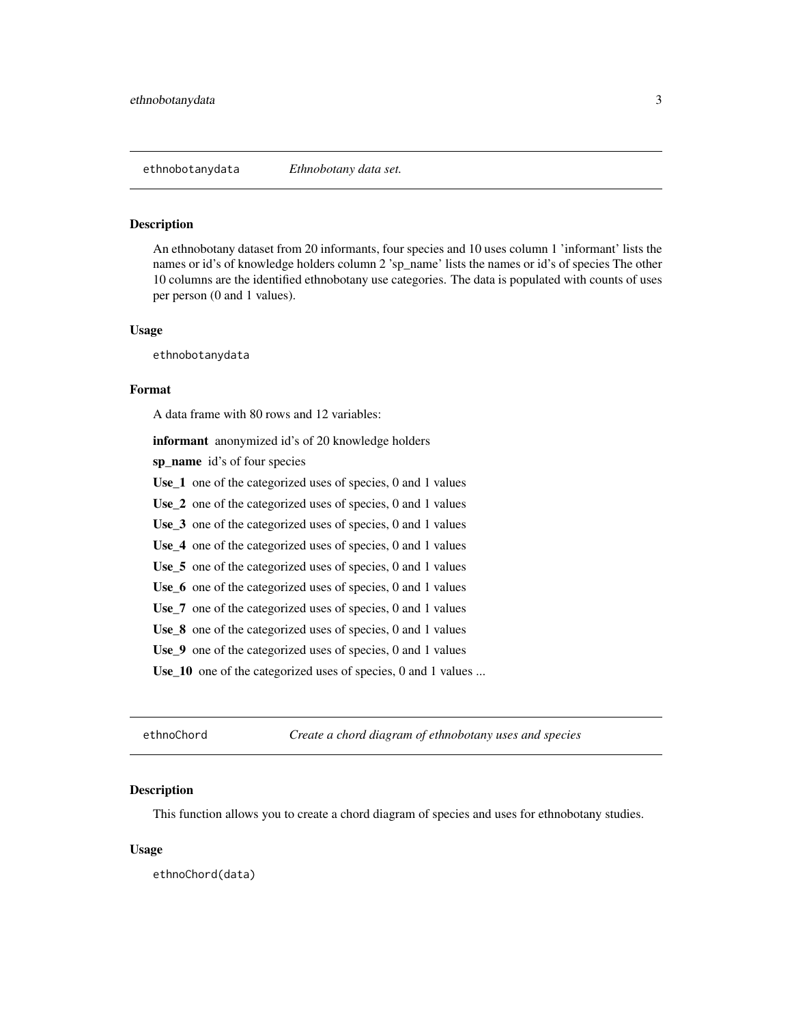<span id="page-2-0"></span>

# Description

An ethnobotany dataset from 20 informants, four species and 10 uses column 1 'informant' lists the names or id's of knowledge holders column 2 'sp\_name' lists the names or id's of species The other 10 columns are the identified ethnobotany use categories. The data is populated with counts of uses per person (0 and 1 values).

# Usage

ethnobotanydata

# Format

A data frame with 80 rows and 12 variables:

informant anonymized id's of 20 knowledge holders

sp\_name id's of four species

Use<sub>1</sub> one of the categorized uses of species, 0 and 1 values

Use\_2 one of the categorized uses of species, 0 and 1 values

Use\_3 one of the categorized uses of species, 0 and 1 values

Use\_4 one of the categorized uses of species, 0 and 1 values

Use\_5 one of the categorized uses of species, 0 and 1 values

Use<sub>\_6</sub> one of the categorized uses of species, 0 and 1 values

Use\_7 one of the categorized uses of species, 0 and 1 values

Use\_8 one of the categorized uses of species, 0 and 1 values

Use\_9 one of the categorized uses of species, 0 and 1 values

Use<sub>10</sub> one of the categorized uses of species, 0 and 1 values ...

ethnoChord *Create a chord diagram of ethnobotany uses and species*

# Description

This function allows you to create a chord diagram of species and uses for ethnobotany studies.

# Usage

ethnoChord(data)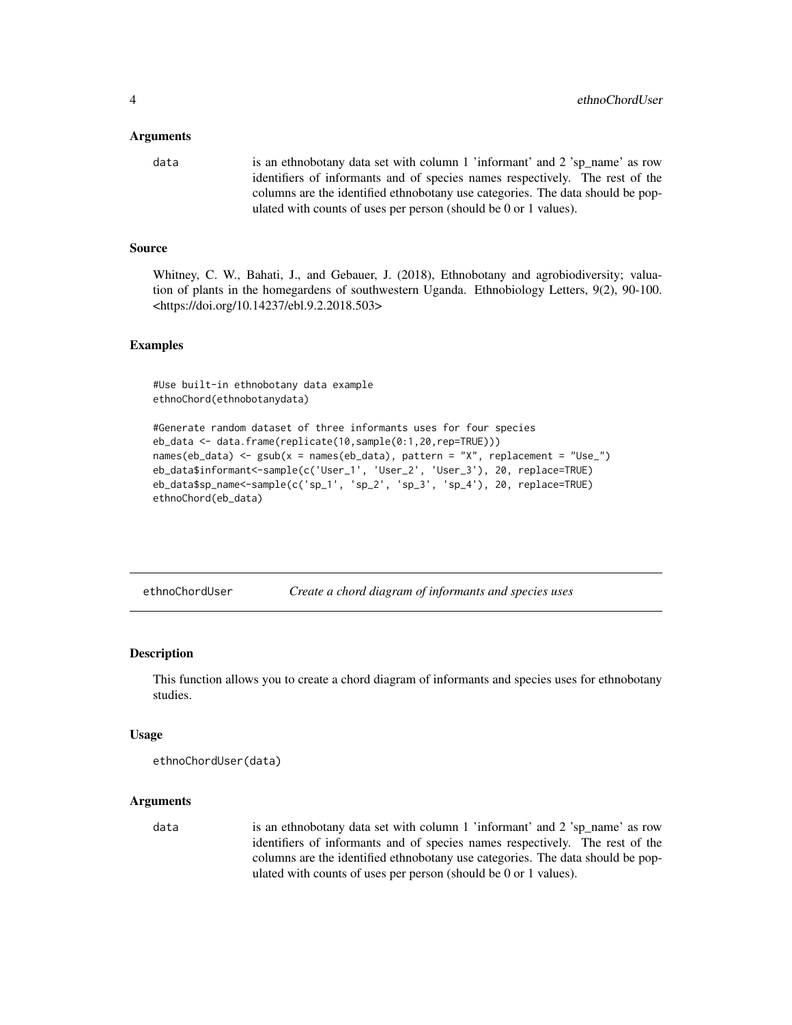# <span id="page-3-0"></span>Arguments

```
data is an ethnobotany data set with column 1 'informant' and 2 'sp_name' as row
                 identifiers of informants and of species names respectively. The rest of the
                 columns are the identified ethnobotany use categories. The data should be pop-
                  ulated with counts of uses per person (should be 0 or 1 values).
```
# Source

Whitney, C. W., Bahati, J., and Gebauer, J. (2018), Ethnobotany and agrobiodiversity; valuation of plants in the homegardens of southwestern Uganda. Ethnobiology Letters, 9(2), 90-100. <https://doi.org/10.14237/ebl.9.2.2018.503>

# Examples

#Use built-in ethnobotany data example ethnoChord(ethnobotanydata)

```
#Generate random dataset of three informants uses for four species
eb_data <- data.frame(replicate(10,sample(0:1,20,rep=TRUE)))
names(eb_data) <- gsub(x = names(eb_data), pattern = "X", replacement = "Use_")
eb_data$informant<-sample(c('User_1', 'User_2', 'User_3'), 20, replace=TRUE)
eb_data$sp_name<-sample(c('sp_1', 'sp_2', 'sp_3', 'sp_4'), 20, replace=TRUE)
ethnoChord(eb_data)
```
ethnoChordUser *Create a chord diagram of informants and species uses*

#### **Description**

This function allows you to create a chord diagram of informants and species uses for ethnobotany studies.

#### Usage

```
ethnoChordUser(data)
```
# Arguments

data is an ethnobotany data set with column 1 'informant' and 2 'sp\_name' as row identifiers of informants and of species names respectively. The rest of the columns are the identified ethnobotany use categories. The data should be populated with counts of uses per person (should be 0 or 1 values).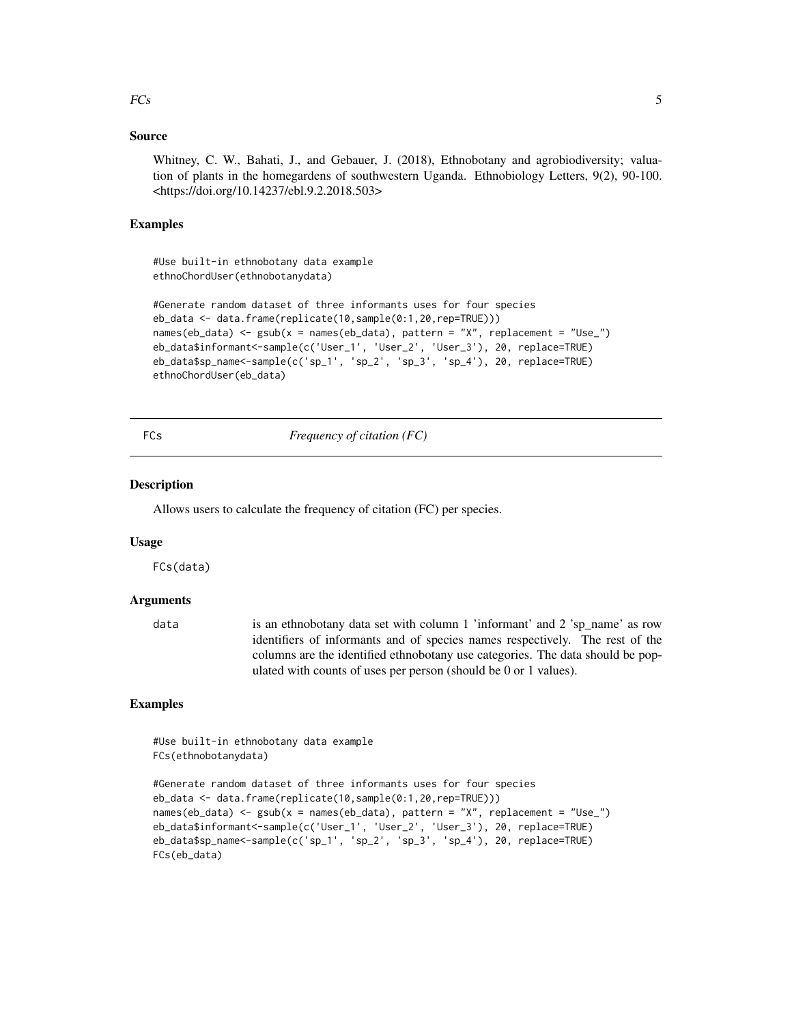# <span id="page-4-0"></span> $FCs$  5

# Source

Whitney, C. W., Bahati, J., and Gebauer, J. (2018), Ethnobotany and agrobiodiversity; valuation of plants in the homegardens of southwestern Uganda. Ethnobiology Letters, 9(2), 90-100. <https://doi.org/10.14237/ebl.9.2.2018.503>

# Examples

#Use built-in ethnobotany data example ethnoChordUser(ethnobotanydata)

```
#Generate random dataset of three informants uses for four species
eb_data <- data.frame(replicate(10,sample(0:1,20,rep=TRUE)))
names(eb_data) <- gsub(x = names(eb_data), pattern = "X", replacement = "Use_")
eb_data$informant<-sample(c('User_1', 'User_2', 'User_3'), 20, replace=TRUE)
eb_data$sp_name<-sample(c('sp_1', 'sp_2', 'sp_3', 'sp_4'), 20, replace=TRUE)
ethnoChordUser(eb_data)
```
FCs *Frequency of citation (FC)*

# Description

Allows users to calculate the frequency of citation (FC) per species.

#### Usage

FCs(data)

# Arguments

data is an ethnobotany data set with column 1 'informant' and 2 'sp\_name' as row identifiers of informants and of species names respectively. The rest of the columns are the identified ethnobotany use categories. The data should be populated with counts of uses per person (should be 0 or 1 values).

# Examples

#Use built-in ethnobotany data example FCs(ethnobotanydata)

```
#Generate random dataset of three informants uses for four species
eb_data <- data.frame(replicate(10,sample(0:1,20,rep=TRUE)))
names(eb_data) <- gsub(x = names(eb_data), pattern = "X", replacement = "Use_")
eb_data$informant<-sample(c('User_1', 'User_2', 'User_3'), 20, replace=TRUE)
eb_data$sp_name<-sample(c('sp_1', 'sp_2', 'sp_3', 'sp_4'), 20, replace=TRUE)
FCs(eb_data)
```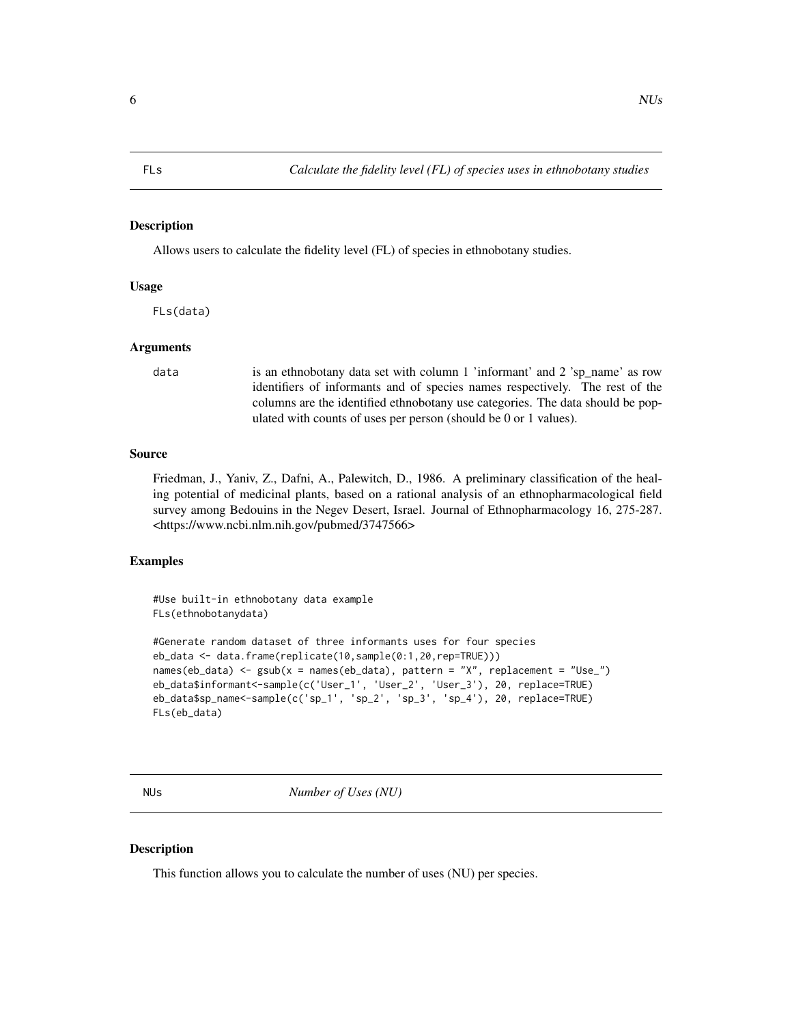<span id="page-5-0"></span>

# Description

Allows users to calculate the fidelity level (FL) of species in ethnobotany studies.

# Usage

FLs(data)

# Arguments

data is an ethnobotany data set with column 1 'informant' and 2 'sp\_name' as row identifiers of informants and of species names respectively. The rest of the columns are the identified ethnobotany use categories. The data should be populated with counts of uses per person (should be 0 or 1 values).

# Source

Friedman, J., Yaniv, Z., Dafni, A., Palewitch, D., 1986. A preliminary classification of the healing potential of medicinal plants, based on a rational analysis of an ethnopharmacological field survey among Bedouins in the Negev Desert, Israel. Journal of Ethnopharmacology 16, 275-287. <https://www.ncbi.nlm.nih.gov/pubmed/3747566>

# Examples

#Use built-in ethnobotany data example FLs(ethnobotanydata)

```
#Generate random dataset of three informants uses for four species
eb_data <- data.frame(replicate(10,sample(0:1,20,rep=TRUE)))
names(eb_data) \leq-gsub(x = names(eb_data), pattern = "X", replacement = "Use"]eb_data$informant<-sample(c('User_1', 'User_2', 'User_3'), 20, replace=TRUE)
eb_data$sp_name<-sample(c('sp_1', 'sp_2', 'sp_3', 'sp_4'), 20, replace=TRUE)
FLs(eb_data)
```
NUs *Number of Uses (NU)*

# **Description**

This function allows you to calculate the number of uses (NU) per species.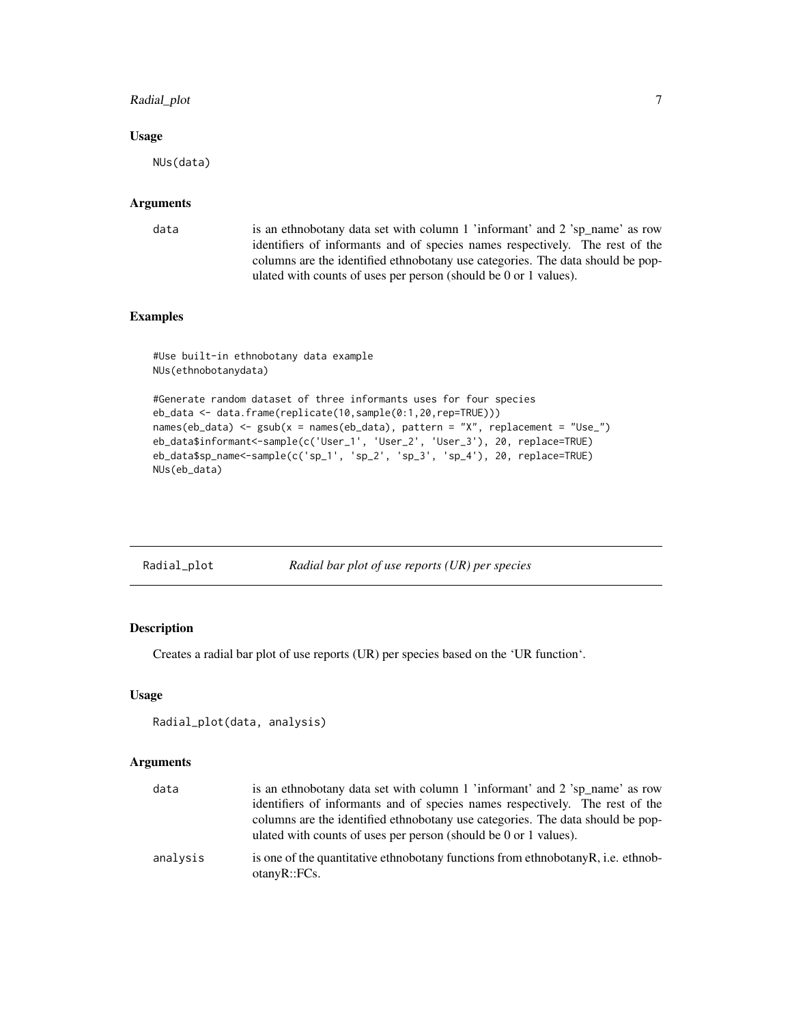# <span id="page-6-0"></span>Radial\_plot 7

# Usage

NUs(data)

# Arguments

data is an ethnobotany data set with column 1 'informant' and 2 'sp\_name' as row identifiers of informants and of species names respectively. The rest of the columns are the identified ethnobotany use categories. The data should be populated with counts of uses per person (should be 0 or 1 values).

# Examples

#Use built-in ethnobotany data example NUs(ethnobotanydata)

```
#Generate random dataset of three informants uses for four species
eb_data <- data.frame(replicate(10,sample(0:1,20,rep=TRUE)))
names(eb_data) <- gsub(x = names(eb_data), pattern = "X", replacement = "Use_")
eb_data$informant<-sample(c('User_1', 'User_2', 'User_3'), 20, replace=TRUE)
eb_data$sp_name<-sample(c('sp_1', 'sp_2', 'sp_3', 'sp_4'), 20, replace=TRUE)
NUs(eb_data)
```

| Radial_plot | Radial bar plot of use reports (UR) per species |
|-------------|-------------------------------------------------|
|-------------|-------------------------------------------------|

# Description

Creates a radial bar plot of use reports (UR) per species based on the 'UR function'.

# Usage

```
Radial_plot(data, analysis)
```
# Arguments

| data     | is an ethnobotany data set with column 1 'informant' and 2 'sp name' as row<br>identifiers of informants and of species names respectively. The rest of the<br>columns are the identified ethnobotany use categories. The data should be pop-<br>ulated with counts of uses per person (should be 0 or 1 values). |
|----------|-------------------------------------------------------------------------------------------------------------------------------------------------------------------------------------------------------------------------------------------------------------------------------------------------------------------|
| analysis | is one of the quantitative ethnobotany functions from ethnobotany R, i.e. ethnob-<br>otanyR::FCs.                                                                                                                                                                                                                 |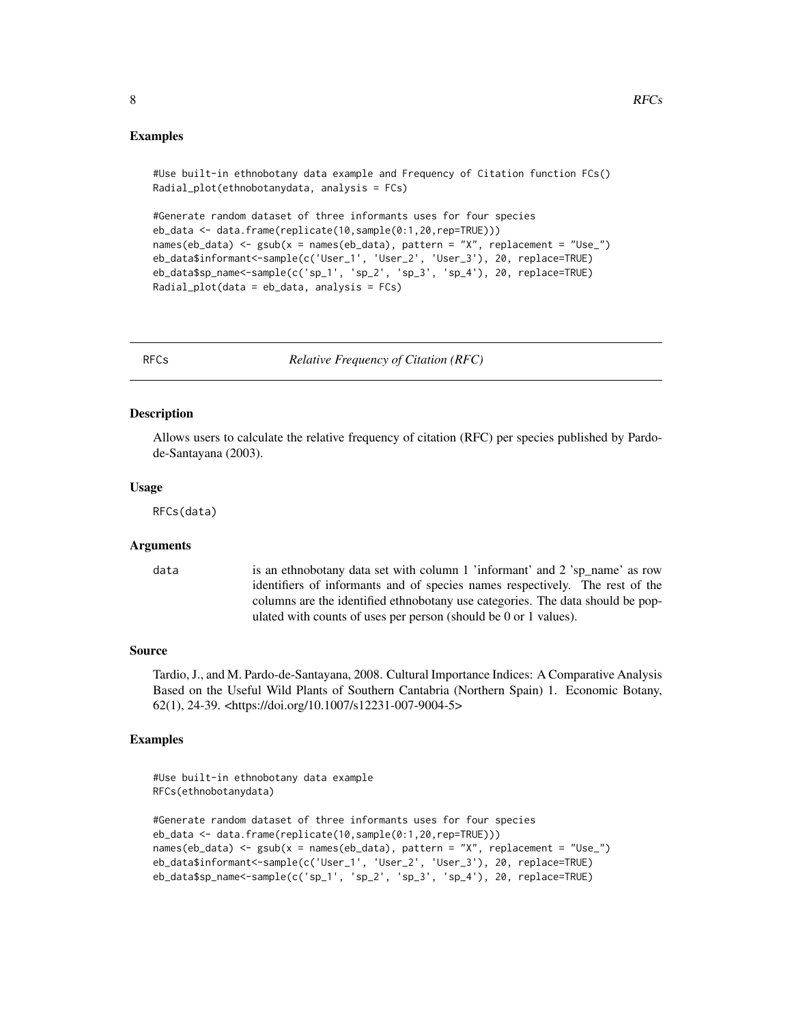```
8 \text{ }
```

```
#Use built-in ethnobotany data example and Frequency of Citation function FCs()
Radial_plot(ethnobotanydata, analysis = FCs)
```

```
#Generate random dataset of three informants uses for four species
eb_data <- data.frame(replicate(10,sample(0:1,20,rep=TRUE)))
names(eb_data) <- gsub(x = names(eb_data), pattern = "X", replacement = "Use_")
eb_data$informant<-sample(c('User_1', 'User_2', 'User_3'), 20, replace=TRUE)
eb_data$sp_name<-sample(c('sp_1', 'sp_2', 'sp_3', 'sp_4'), 20, replace=TRUE)
Radial_plot(data = eb_data, analysis = FCs)
```
RFCs *Relative Frequency of Citation (RFC)*

# Description

Allows users to calculate the relative frequency of citation (RFC) per species published by Pardode-Santayana (2003).

#### Usage

RFCs(data)

# Arguments

data is an ethnobotany data set with column 1 'informant' and 2 'sp\_name' as row identifiers of informants and of species names respectively. The rest of the columns are the identified ethnobotany use categories. The data should be populated with counts of uses per person (should be 0 or 1 values).

#### Source

Tardio, J., and M. Pardo-de-Santayana, 2008. Cultural Importance Indices: A Comparative Analysis Based on the Useful Wild Plants of Southern Cantabria (Northern Spain) 1. Economic Botany, 62(1), 24-39. <https://doi.org/10.1007/s12231-007-9004-5>

# Examples

```
#Use built-in ethnobotany data example
RFCs(ethnobotanydata)
```

```
#Generate random dataset of three informants uses for four species
eb_data <- data.frame(replicate(10,sample(0:1,20,rep=TRUE)))
names(eb_data) <- gsub(x = names(eb_data), pattern = "X", replacement = "Use_")
eb_data$informant<-sample(c('User_1', 'User_2', 'User_3'), 20, replace=TRUE)
eb_data$sp_name<-sample(c('sp_1', 'sp_2', 'sp_3', 'sp_4'), 20, replace=TRUE)
```
<span id="page-7-0"></span>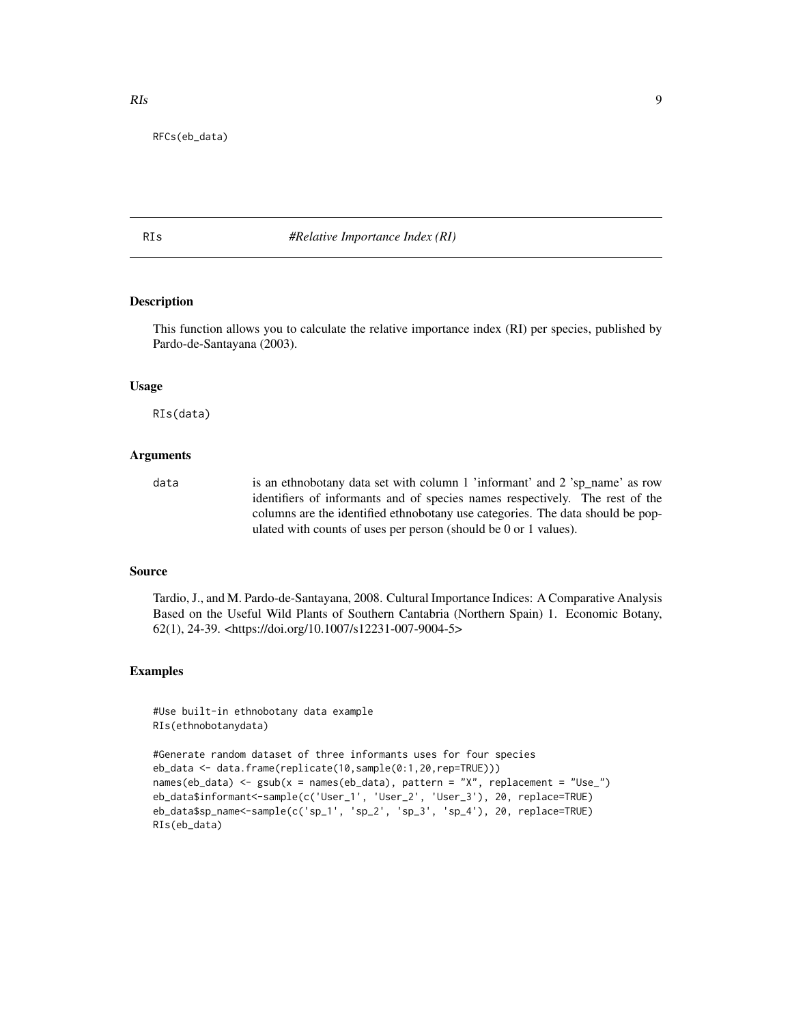<span id="page-8-0"></span>RFCs(eb\_data)

# RIs *#Relative Importance Index (RI)*

# Description

This function allows you to calculate the relative importance index (RI) per species, published by Pardo-de-Santayana (2003).

#### Usage

RIs(data)

# Arguments

data is an ethnobotany data set with column 1 'informant' and 2 'sp\_name' as row identifiers of informants and of species names respectively. The rest of the columns are the identified ethnobotany use categories. The data should be populated with counts of uses per person (should be 0 or 1 values).

# Source

Tardio, J., and M. Pardo-de-Santayana, 2008. Cultural Importance Indices: A Comparative Analysis Based on the Useful Wild Plants of Southern Cantabria (Northern Spain) 1. Economic Botany, 62(1), 24-39. <https://doi.org/10.1007/s12231-007-9004-5>

# Examples

#Use built-in ethnobotany data example RIs(ethnobotanydata)

```
#Generate random dataset of three informants uses for four species
eb_data <- data.frame(replicate(10,sample(0:1,20,rep=TRUE)))
names(eb_data) <- gsub(x = names(eb_data), pattern = "X", replacement = "Use_")
eb_data$informant<-sample(c('User_1', 'User_2', 'User_3'), 20, replace=TRUE)
eb_data$sp_name<-sample(c('sp_1', 'sp_2', 'sp_3', 'sp_4'), 20, replace=TRUE)
RIs(eb_data)
```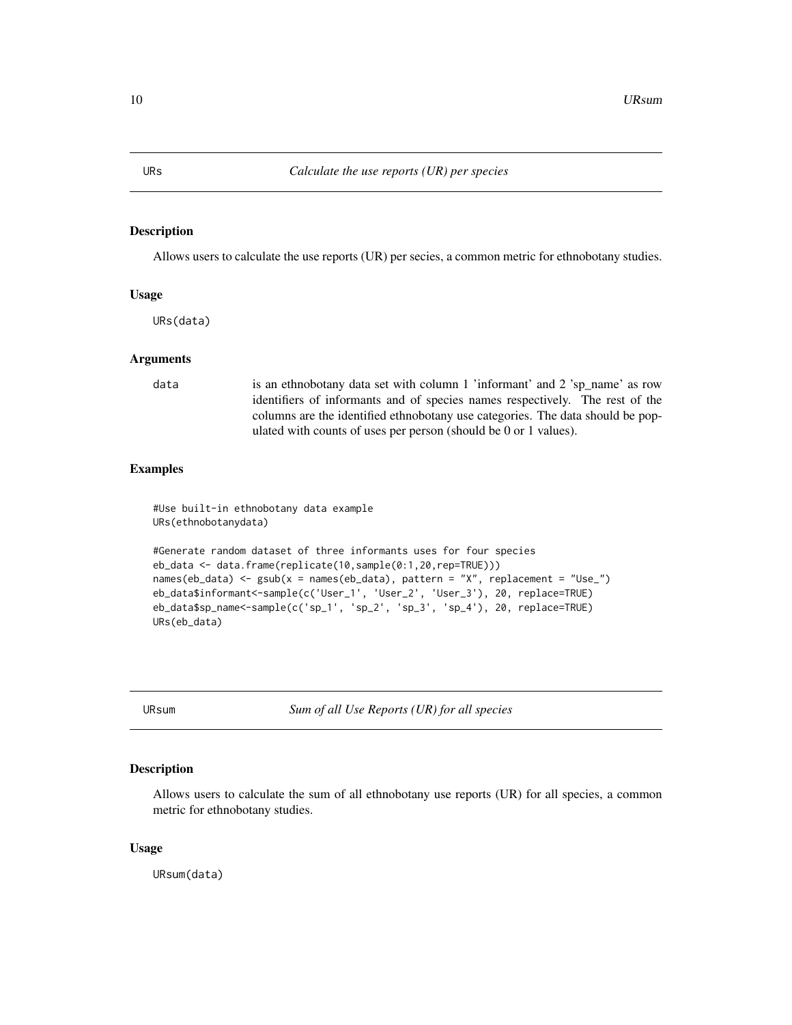<span id="page-9-0"></span>

# Description

Allows users to calculate the use reports (UR) per secies, a common metric for ethnobotany studies.

# Usage

URs(data)

# Arguments

data is an ethnobotany data set with column 1 'informant' and 2 'sp\_name' as row identifiers of informants and of species names respectively. The rest of the columns are the identified ethnobotany use categories. The data should be populated with counts of uses per person (should be 0 or 1 values).

# Examples

#Use built-in ethnobotany data example URs(ethnobotanydata)

```
#Generate random dataset of three informants uses for four species
eb_data <- data.frame(replicate(10,sample(0:1,20,rep=TRUE)))
names(eb_data) <- gsub(x = names(eb_data), pattern = "X", replacement = "Use_")
eb_data$informant<-sample(c('User_1', 'User_2', 'User_3'), 20, replace=TRUE)
eb_data$sp_name<-sample(c('sp_1', 'sp_2', 'sp_3', 'sp_4'), 20, replace=TRUE)
URs(eb_data)
```
URsum *Sum of all Use Reports (UR) for all species*

# Description

Allows users to calculate the sum of all ethnobotany use reports (UR) for all species, a common metric for ethnobotany studies.

# Usage

URsum(data)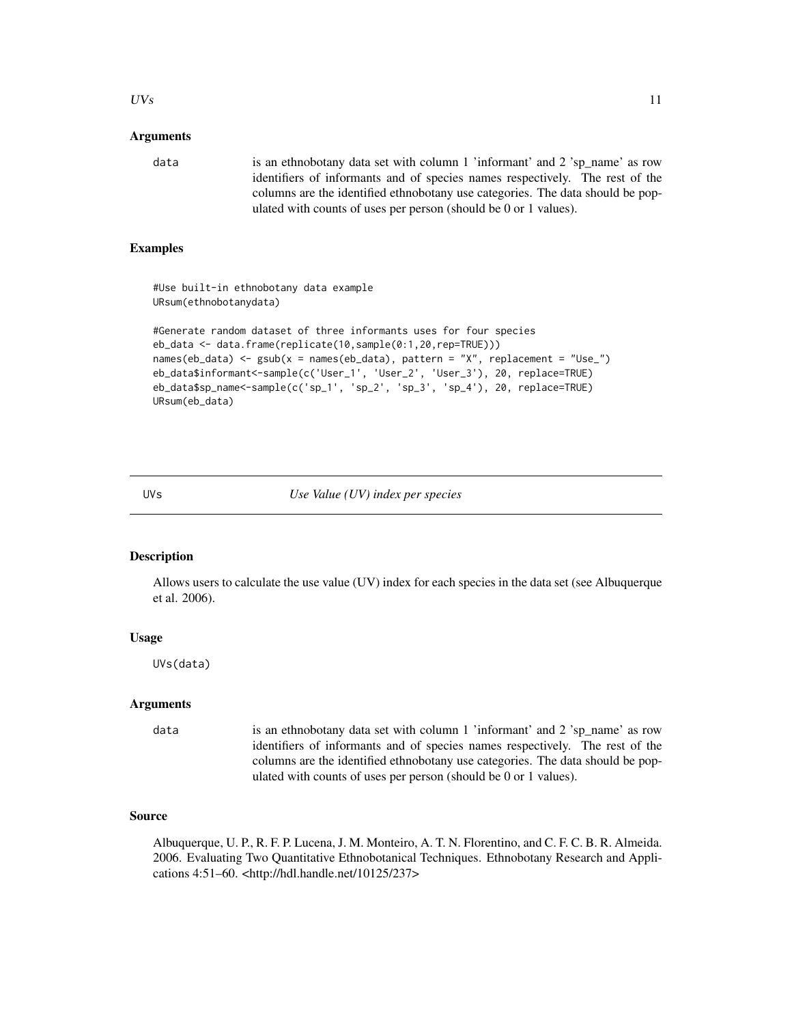# <span id="page-10-0"></span> $UVs$  11

# Arguments

data is an ethnobotany data set with column 1 'informant' and 2 'sp\_name' as row identifiers of informants and of species names respectively. The rest of the columns are the identified ethnobotany use categories. The data should be populated with counts of uses per person (should be 0 or 1 values).

# Examples

#Use built-in ethnobotany data example URsum(ethnobotanydata)

```
#Generate random dataset of three informants uses for four species
eb_data <- data.frame(replicate(10,sample(0:1,20,rep=TRUE)))
names(eb_data) <- gsub(x = names(eb_data), pattern = "X", replacement = "Use_")
eb_data$informant<-sample(c('User_1', 'User_2', 'User_3'), 20, replace=TRUE)
eb_data$sp_name<-sample(c('sp_1', 'sp_2', 'sp_3', 'sp_4'), 20, replace=TRUE)
URsum(eb_data)
```
UVs *Use Value (UV) index per species*

# **Description**

Allows users to calculate the use value (UV) index for each species in the data set (see Albuquerque et al. 2006).

#### Usage

UVs(data)

# Arguments

data is an ethnobotany data set with column 1 'informant' and 2 'sp\_name' as row identifiers of informants and of species names respectively. The rest of the columns are the identified ethnobotany use categories. The data should be populated with counts of uses per person (should be 0 or 1 values).

### Source

Albuquerque, U. P., R. F. P. Lucena, J. M. Monteiro, A. T. N. Florentino, and C. F. C. B. R. Almeida. 2006. Evaluating Two Quantitative Ethnobotanical Techniques. Ethnobotany Research and Applications 4:51–60. <http://hdl.handle.net/10125/237>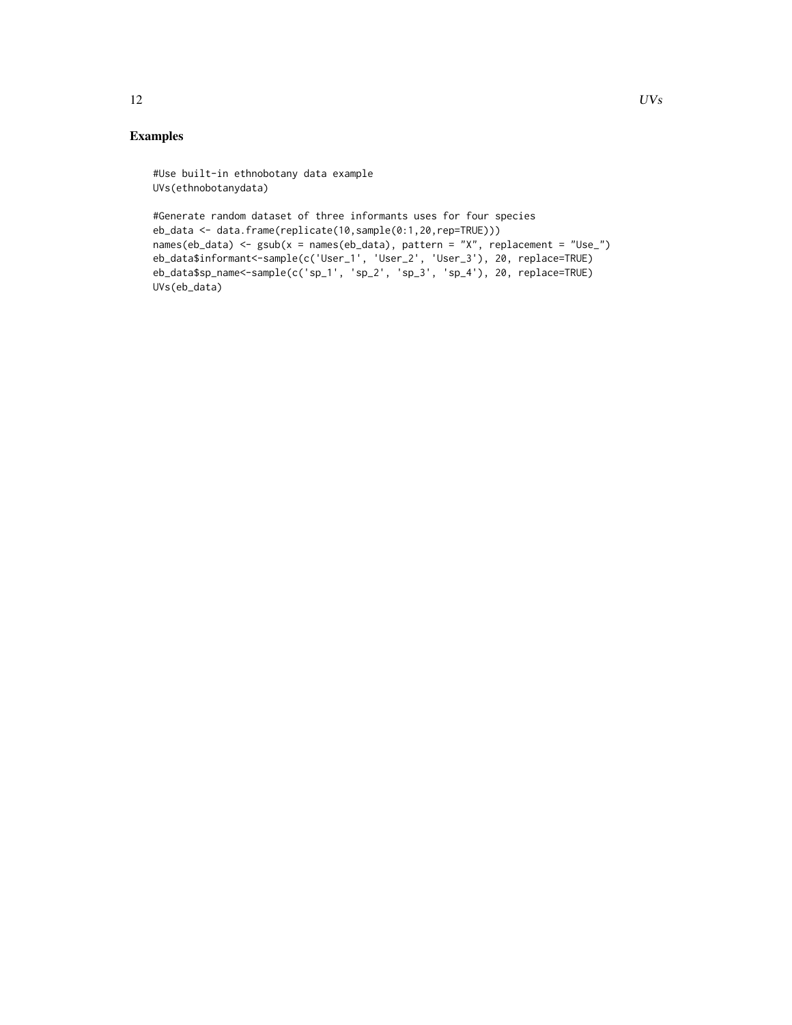# Examples

```
#Use built-in ethnobotany data example
UVs(ethnobotanydata)
```

```
#Generate random dataset of three informants uses for four species
eb_data <- data.frame(replicate(10,sample(0:1,20,rep=TRUE)))
names(eb_data) <- gsub(x = names(eb_data), pattern = "X", replacement = "Use_")
eb_data$informant<-sample(c('User_1', 'User_2', 'User_3'), 20, replace=TRUE)
eb_data$sp_name<-sample(c('sp_1', 'sp_2', 'sp_3', 'sp_4'), 20, replace=TRUE)
UVs(eb_data)
```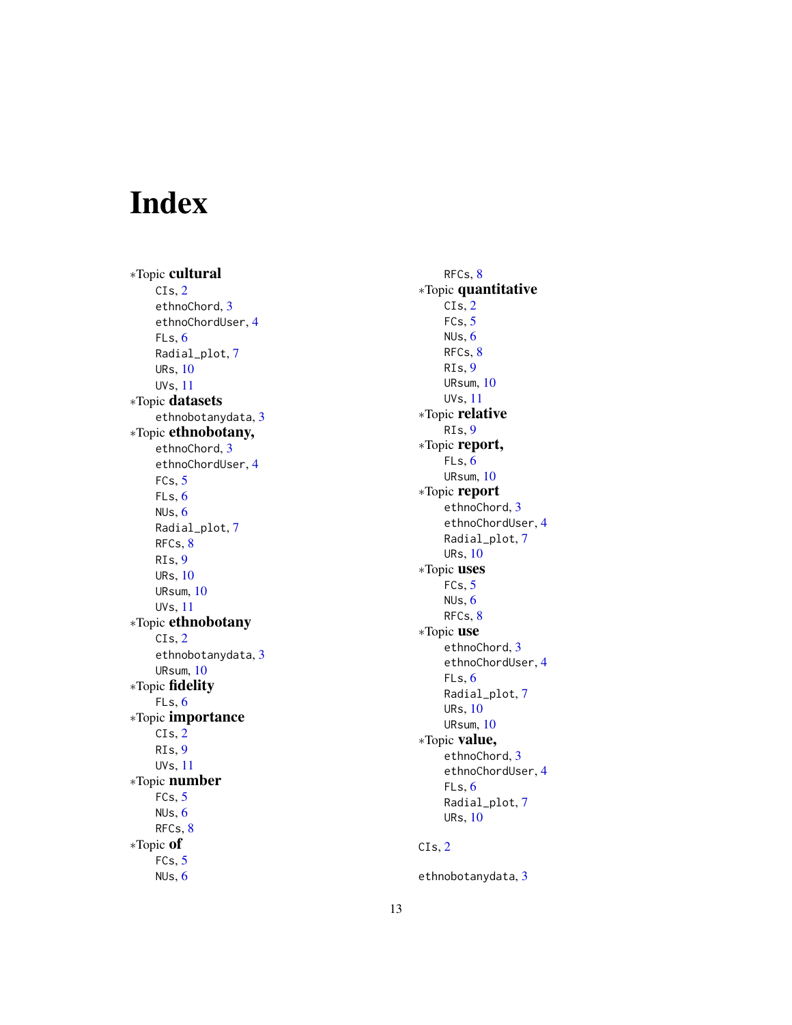# <span id="page-12-0"></span>Index

∗Topic cultural CIs , [2](#page-1-0) ethnoChord, [3](#page-2-0) ethnoChordUser , [4](#page-3-0) FLs , [6](#page-5-0) Radial\_plot , [7](#page-6-0) URs , [10](#page-9-0) UVs , [11](#page-10-0) ∗Topic datasets ethnobotanydata , [3](#page-2-0) ∗Topic ethnobotany, ethnoChord , [3](#page-2-0) ethnoChordUser , [4](#page-3-0)  $FCs, 5$  $FCs, 5$ FLs , [6](#page-5-0) NUs , [6](#page-5-0) Radial\_plot , [7](#page-6-0) RFCs , [8](#page-7-0) RIs , [9](#page-8-0) URs , [10](#page-9-0) URsum , [10](#page-9-0) UVs , [11](#page-10-0) ∗Topic ethnobotany CIs , [2](#page-1-0) ethnobotanydata , [3](#page-2-0) URsum , [10](#page-9-0) ∗Topic fidelity FLs , [6](#page-5-0) ∗Topic importance CIs , [2](#page-1-0) RIs , [9](#page-8-0) UVs , [11](#page-10-0) ∗Topic number FCs , [5](#page-4-0) NUs , [6](#page-5-0) RFCs , [8](#page-7-0) ∗Topic of FCs , [5](#page-4-0) NUs , [6](#page-5-0)

RFCs , [8](#page-7-0) ∗Topic quantitative CIs , [2](#page-1-0) FCs,  $5$ NUs , [6](#page-5-0) RFCs , [8](#page-7-0) RIs , [9](#page-8-0) URsum , [10](#page-9-0) UVs , [11](#page-10-0) ∗Topic relative RIs , [9](#page-8-0) ∗Topic report, FLs , [6](#page-5-0) URsum , [10](#page-9-0) ∗Topic report ethnoChord, [3](#page-2-0) ethnoChordUser , [4](#page-3-0) Radial\_plot , [7](#page-6-0) URs , [10](#page-9-0) ∗Topic uses  $FCs, 5$  $FCs, 5$ NUs , [6](#page-5-0) RFCs, <mark>[8](#page-7-0)</mark> ∗Topic use ethnoChord, [3](#page-2-0) ethnoChordUser , [4](#page-3-0) FLs , [6](#page-5-0) Radial\_plot , [7](#page-6-0) URs , [10](#page-9-0) URsum , [10](#page-9-0) ∗Topic value, ethnoChord, [3](#page-2-0) ethnoChordUser , [4](#page-3-0) FLs , [6](#page-5-0) Radial\_plot , [7](#page-6-0) URs , [10](#page-9-0) CIs , [2](#page-1-0)

ethnobotanydata, [3](#page-2-0)